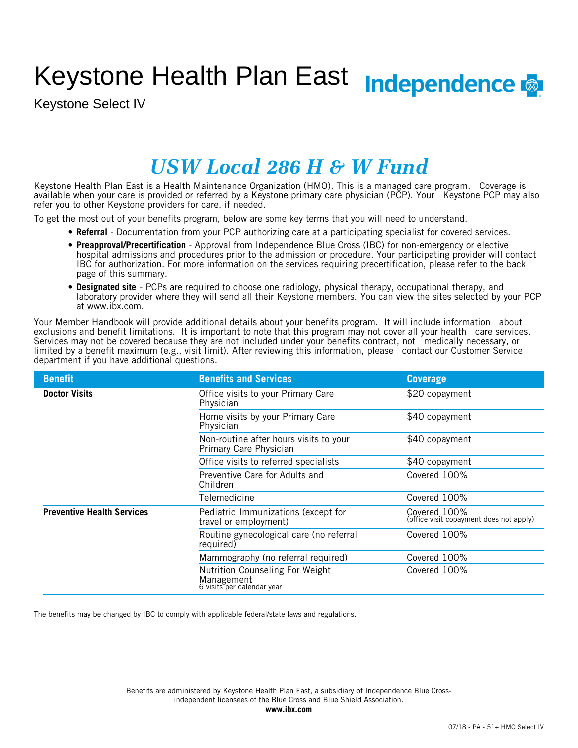# Keystone Health Plan East Independence

Keystone Select IV

## *USW Local 286 H & W Fund*

Keystone Health Plan East is a Health Maintenance Organization (HMO). This is a managed care program. Coverage is available when your care is provided or referred by a Keystone primary care physician (PCP). Your Keystone PCP may also refer you to other Keystone providers for care, if needed.

To get the most out of your benefits program, below are some key terms that you will need to understand.

- **Referral** Documentation from your PCP authorizing care at a participating specialist for covered services.
- **Preapproval/Precertification** Approval from Independence Blue Cross (IBC) for non-emergency or elective hospital admissions and procedures prior to the admission or procedure. Your participating provider will contact IBC for authorization. For more information on the services requiring precertification, please refer to the back page of this summary.
- **Designated site** PCPs are required to choose one radiology, physical therapy, occupational therapy, and laboratory provider where they will send all their Keystone members. You can view the sites selected by your PCP at www.ibx.com.

Your Member Handbook will provide additional details about your benefits program. It will include information about exclusions and benefit limitations. It is important to note that this program may not cover all your health care services. Services may not be covered because they are not included under your benefits contract, not medically necessary, or limited by a benefit maximum (e.g., visit limit). After reviewing this information, please contact our Customer Service department if you have additional questions.

| <b>Benefit</b>                    | <b>Benefits and Services</b>                                                | <b>Coverage</b>                                         |
|-----------------------------------|-----------------------------------------------------------------------------|---------------------------------------------------------|
| <b>Doctor Visits</b>              | Office visits to your Primary Care<br>Physician                             | \$20 copayment                                          |
|                                   | Home visits by your Primary Care<br>Physician                               | \$40 copayment                                          |
|                                   | Non-routine after hours visits to your<br>Primary Care Physician            | \$40 copayment                                          |
|                                   | Office visits to referred specialists                                       | \$40 copayment                                          |
|                                   | Preventive Care for Adults and<br>Children                                  | Covered 100%                                            |
|                                   | Telemedicine                                                                | Covered 100%                                            |
| <b>Preventive Health Services</b> | Pediatric Immunizations (except for<br>travel or employment)                | Covered 100%<br>(office visit copayment does not apply) |
|                                   | Routine gynecological care (no referral<br>required)                        | Covered 100%                                            |
|                                   | Mammography (no referral required)                                          | Covered 100%                                            |
|                                   | Nutrition Counseling For Weight<br>Management<br>6 visits per calendar year | Covered 100%                                            |

The benefits may be changed by IBC to comply with applicable federal/state laws and regulations.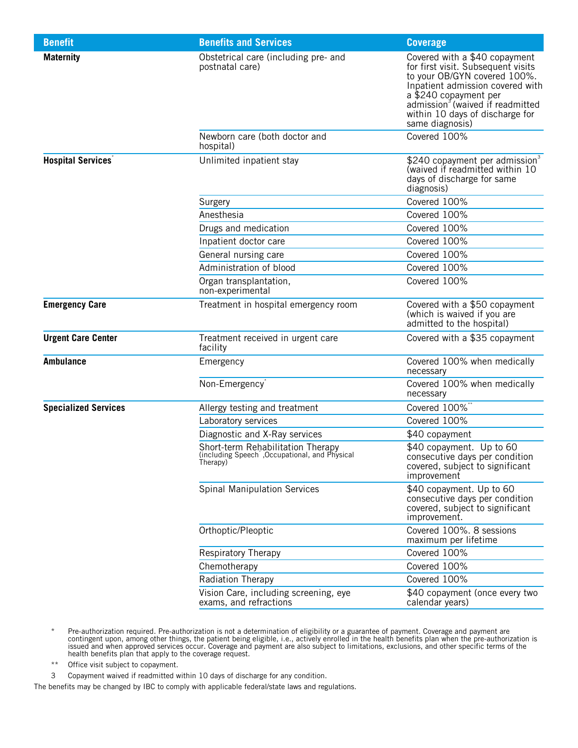| <b>Benefit</b>              | <b>Benefits and Services</b>                                                                    | <b>Coverage</b>                                                                                                                                                                                                                                                        |
|-----------------------------|-------------------------------------------------------------------------------------------------|------------------------------------------------------------------------------------------------------------------------------------------------------------------------------------------------------------------------------------------------------------------------|
| <b>Maternity</b>            | Obstetrical care (including pre- and<br>postnatal care)                                         | Covered with a \$40 copayment<br>for first visit. Subsequent visits<br>to your OB/GYN covered 100%.<br>Inpatient admission covered with<br>a \$240 copayment per<br>admission <sup>3</sup> (waived if readmitted<br>within 10 days of discharge for<br>same diagnosis) |
|                             | Newborn care (both doctor and<br>hospital)                                                      | Covered 100%                                                                                                                                                                                                                                                           |
| <b>Hospital Services</b> *  | Unlimited inpatient stay                                                                        | \$240 copayment per admission <sup>3</sup><br>(waived if readmitted within 10<br>days of discharge for same<br>diagnosis)                                                                                                                                              |
|                             | Surgery                                                                                         | Covered 100%                                                                                                                                                                                                                                                           |
|                             | Anesthesia                                                                                      | Covered 100%                                                                                                                                                                                                                                                           |
|                             | Drugs and medication                                                                            | Covered 100%                                                                                                                                                                                                                                                           |
|                             | Inpatient doctor care                                                                           | Covered 100%                                                                                                                                                                                                                                                           |
|                             | General nursing care                                                                            | Covered 100%                                                                                                                                                                                                                                                           |
|                             | Administration of blood                                                                         | Covered 100%                                                                                                                                                                                                                                                           |
|                             | Organ transplantation,<br>non-experimental                                                      | Covered 100%                                                                                                                                                                                                                                                           |
| <b>Emergency Care</b>       | Treatment in hospital emergency room                                                            | Covered with a \$50 copayment<br>(which is waived if you are<br>admitted to the hospital)                                                                                                                                                                              |
| <b>Urgent Care Center</b>   | Treatment received in urgent care<br>facility                                                   | Covered with a \$35 copayment                                                                                                                                                                                                                                          |
| <b>Ambulance</b>            | Emergency                                                                                       | Covered 100% when medically<br>necessary                                                                                                                                                                                                                               |
|                             | Non-Emergency <sup>*</sup>                                                                      | Covered 100% when medically<br>necessary                                                                                                                                                                                                                               |
| <b>Specialized Services</b> | Allergy testing and treatment                                                                   | Covered 100%                                                                                                                                                                                                                                                           |
|                             | Laboratory services                                                                             | Covered 100%                                                                                                                                                                                                                                                           |
|                             | Diagnostic and X-Ray services                                                                   | \$40 copayment                                                                                                                                                                                                                                                         |
|                             | Short-term Rehabilitation Therapy<br>(including Speech , Occupational, and Physical<br>Therapy) | \$40 copayment. Up to 60<br>consecutive days per condition<br>covered, subject to significant<br>improvement                                                                                                                                                           |
|                             | <b>Spinal Manipulation Services</b>                                                             | \$40 copayment. Up to 60<br>consecutive days per condition<br>covered, subject to significant<br>improvement.                                                                                                                                                          |
|                             | Orthoptic/Pleoptic                                                                              | Covered 100%. 8 sessions<br>maximum per lifetime                                                                                                                                                                                                                       |
|                             | <b>Respiratory Therapy</b>                                                                      | Covered 100%                                                                                                                                                                                                                                                           |
|                             | Chemotherapy                                                                                    | Covered 100%                                                                                                                                                                                                                                                           |
|                             | Radiation Therapy                                                                               | Covered 100%                                                                                                                                                                                                                                                           |
|                             | Vision Care, including screening, eye<br>exams, and refractions                                 | \$40 copayment (once every two<br>calendar years)                                                                                                                                                                                                                      |

- \* Pre-authorization required. Pre-authorization is not a determination of eligibility or a guarantee of payment. Coverage and payment are contingent upon, among other things, the patient being eligible, i.e., actively enrolled in the health benefits plan when the pre-authorization is issued and when approved services occur. Coverage and payment are also subject to limitations, exclusions, and other specific terms of the health benefits plan that apply to the coverage request.
- \*\* Office visit subject to copayment.
- 3 Copayment waived if readmitted within 10 days of discharge for any condition.

The benefits may be changed by IBC to comply with applicable federal/state laws and regulations.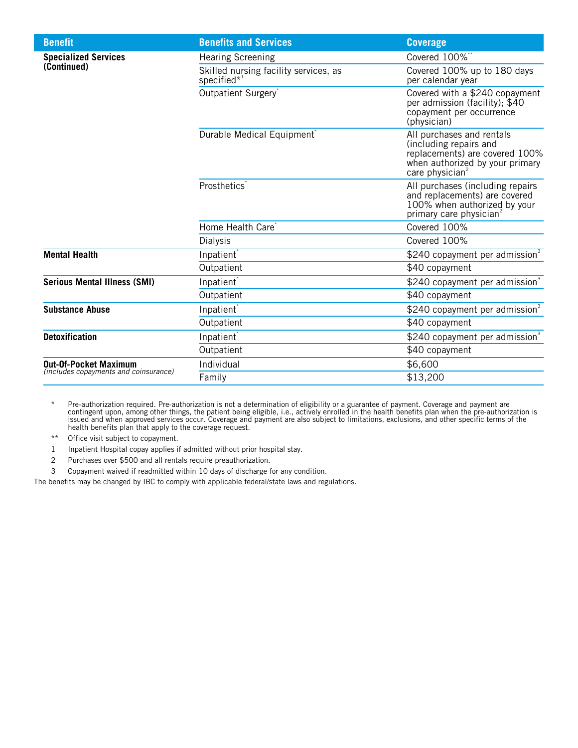| <b>Benefits and Services</b>                            | <b>Coverage</b>                                                                                                                                         |
|---------------------------------------------------------|---------------------------------------------------------------------------------------------------------------------------------------------------------|
| <b>Hearing Screening</b>                                | Covered 100%**                                                                                                                                          |
| Skilled nursing facility services, as<br>specified $*1$ | Covered 100% up to 180 days<br>per calendar year                                                                                                        |
| Outpatient Surgery                                      | Covered with a \$240 copayment<br>per admission (facility); \$40<br>copayment per occurrence<br>(physician)                                             |
| Durable Medical Equipment <sup>®</sup>                  | All purchases and rentals<br>(including repairs and<br>replacements) are covered 100%<br>when authorized by your primary<br>care physician <sup>2</sup> |
| Prosthetics <sup>®</sup>                                | All purchases (including repairs<br>and replacements) are covered<br>100% when authorized by your<br>primary care physician <sup>2</sup>                |
| Home Health Care <sup>®</sup>                           | Covered 100%                                                                                                                                            |
| <b>Dialysis</b>                                         | Covered 100%                                                                                                                                            |
| Inpatient <sup>*</sup>                                  | \$240 copayment per admission $3$                                                                                                                       |
| Outpatient                                              | \$40 copayment                                                                                                                                          |
| Inpatient <sup>*</sup>                                  | \$240 copayment per admission <sup>3</sup>                                                                                                              |
| Outpatient                                              | \$40 copayment                                                                                                                                          |
| Inpatient <sup>®</sup>                                  | \$240 copayment per admission <sup>3</sup>                                                                                                              |
| Outpatient                                              | \$40 copayment                                                                                                                                          |
| Inpatient <sup>®</sup>                                  | \$240 copayment per admission $3$                                                                                                                       |
| Outpatient                                              | \$40 copayment                                                                                                                                          |
| Individual                                              | \$6,600                                                                                                                                                 |
| Family                                                  | \$13,200                                                                                                                                                |
|                                                         |                                                                                                                                                         |

\* Pre-authorization required. Pre-authorization is not a determination of eligibility or a guarantee of payment. Coverage and payment are contingent upon, among other things, the patient being eligible, i.e., actively enrolled in the health benefits plan when the pre-authorization is issued and when approved services occur. Coverage and payment are also subject to limitations, exclusions, and other specific terms of the health benefits plan that apply to the coverage request.

\*\* Office visit subject to copayment.

1 Inpatient Hospital copay applies if admitted without prior hospital stay.

2 Purchases over \$500 and all rentals require preauthorization.

3 Copayment waived if readmitted within 10 days of discharge for any condition.

The benefits may be changed by IBC to comply with applicable federal/state laws and regulations.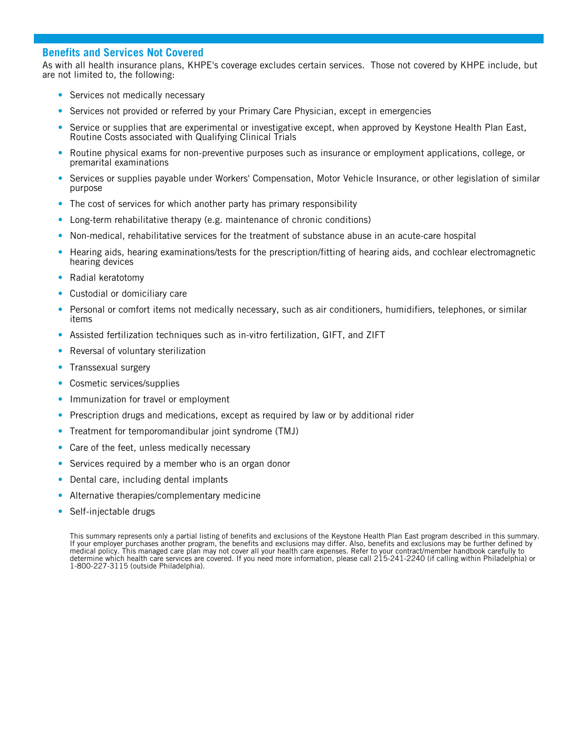### **Benefits and Services Not Covered**

As with all health insurance plans, KHPE's coverage excludes certain services. Those not covered by KHPE include, but are not limited to, the following:

- Services not medically necessary
- Services not provided or referred by your Primary Care Physician, except in emergencies
- Service or supplies that are experimental or investigative except, when approved by Keystone Health Plan East, Routine Costs associated with Qualifying Clinical Trials
- Routine physical exams for non-preventive purposes such as insurance or employment applications, college, or premarital examinations
- Services or supplies payable under Workers' Compensation, Motor Vehicle Insurance, or other legislation of similar purpose
- The cost of services for which another party has primary responsibility
- Long-term rehabilitative therapy (e.g. maintenance of chronic conditions)
- Non-medical, rehabilitative services for the treatment of substance abuse in an acute-care hospital
- Hearing aids, hearing examinations/tests for the prescription/fitting of hearing aids, and cochlear electromagnetic hearing devices
- Radial keratotomy
- Custodial or domiciliary care
- Personal or comfort items not medically necessary, such as air conditioners, humidifiers, telephones, or similar items
- Assisted fertilization techniques such as in-vitro fertilization, GIFT, and ZIFT
- Reversal of voluntary sterilization
- Transsexual surgery
- Cosmetic services/supplies
- Immunization for travel or employment
- Prescription drugs and medications, except as required by law or by additional rider
- Treatment for temporomandibular joint syndrome (TMJ)
- Care of the feet, unless medically necessary
- Services required by a member who is an organ donor
- Dental care, including dental implants
- Alternative therapies/complementary medicine
- Self-injectable drugs

This summary represents only a partial listing of benefits and exclusions of the Keystone Health Plan East program described in this summary. If your employer purchases another program, the benefits and exclusions may differ. Also, benefits and exclusions may be further defined by medical policy. This managed care plan may not cover all your health care expenses. Refer to your contract/member handbook carefully to determine which health care services are covered. If you need more information, please call 215-241-2240 (if calling within Philadelphia) or 1-800-227-3115 (outside Philadelphia).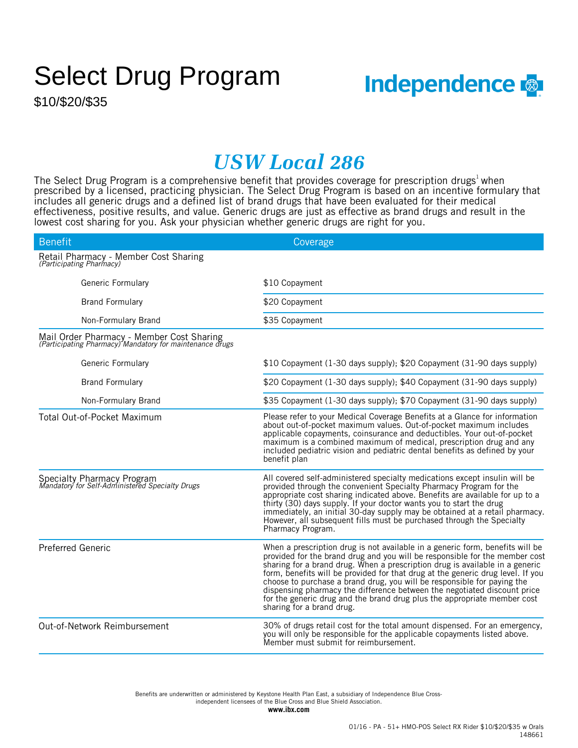## Select Drug Program

\$10/\$20/\$35



## *USW Local 286*

The Select Drug Program is a comprehensive benefit that provides coverage for prescription drugs<sup>1</sup> when prescribed by a licensed, practicing physician. The Select Drug Program is based on an incentive formulary that includes all generic drugs and a defined list of brand drugs that have been evaluated for their medical effectiveness, positive results, and value. Generic drugs are just as effective as brand drugs and result in the lowest cost sharing for you. Ask your physician whether generic drugs are right for you.

| <b>Benefit</b>                                                                                        | Coverage                                                                                                                                                                                                                                                                                                                                                                                                                                                                                                                                                                                        |
|-------------------------------------------------------------------------------------------------------|-------------------------------------------------------------------------------------------------------------------------------------------------------------------------------------------------------------------------------------------------------------------------------------------------------------------------------------------------------------------------------------------------------------------------------------------------------------------------------------------------------------------------------------------------------------------------------------------------|
| Retail Pharmacy - Member Cost Sharing<br>(Participating Pharmacy)                                     |                                                                                                                                                                                                                                                                                                                                                                                                                                                                                                                                                                                                 |
| Generic Formulary                                                                                     | \$10 Copayment                                                                                                                                                                                                                                                                                                                                                                                                                                                                                                                                                                                  |
| <b>Brand Formulary</b>                                                                                | \$20 Copayment                                                                                                                                                                                                                                                                                                                                                                                                                                                                                                                                                                                  |
| Non-Formulary Brand                                                                                   | \$35 Copayment                                                                                                                                                                                                                                                                                                                                                                                                                                                                                                                                                                                  |
| Mail Order Pharmacy - Member Cost Sharing<br>(Participating Pharmacy) Mandatory for maintenance drugs |                                                                                                                                                                                                                                                                                                                                                                                                                                                                                                                                                                                                 |
| Generic Formulary                                                                                     | \$10 Copayment (1-30 days supply); \$20 Copayment (31-90 days supply)                                                                                                                                                                                                                                                                                                                                                                                                                                                                                                                           |
| <b>Brand Formulary</b>                                                                                | \$20 Copayment (1-30 days supply); \$40 Copayment (31-90 days supply)                                                                                                                                                                                                                                                                                                                                                                                                                                                                                                                           |
| Non-Formulary Brand                                                                                   | \$35 Copayment (1-30 days supply); \$70 Copayment (31-90 days supply)                                                                                                                                                                                                                                                                                                                                                                                                                                                                                                                           |
| Total Out-of-Pocket Maximum                                                                           | Please refer to your Medical Coverage Benefits at a Glance for information<br>about out-of-pocket maximum values. Out-of-pocket maximum includes<br>applicable copayments, coinsurance and deductibles. Your out-of-pocket<br>maximum is a combined maximum of medical, prescription drug and any<br>included pediatric vision and pediatric dental benefits as defined by your<br>benefit plan                                                                                                                                                                                                 |
| Specialty Pharmacy Program<br>Mandatory for Self-Administered Specialty Drugs                         | All covered self-administered specialty medications except insulin will be<br>provided through the convenient Specialty Pharmacy Program for the<br>appropriate cost sharing indicated above. Benefits are available for up to a<br>thirty (30) days supply. If your doctor wants you to start the drug<br>immediately, an initial 30-day supply may be obtained at a retail pharmacy.<br>However, all subsequent fills must be purchased through the Specialty<br>Pharmacy Program.                                                                                                            |
| <b>Preferred Generic</b>                                                                              | When a prescription drug is not available in a generic form, benefits will be<br>provided for the brand drug and you will be responsible for the member cost<br>sharing for a brand drug. When a prescription drug is available in a generic<br>form, benefits will be provided for that drug at the generic drug level. If you<br>choose to purchase a brand drug, you will be responsible for paying the<br>dispensing pharmacy the difference between the negotiated discount price<br>for the generic drug and the brand drug plus the appropriate member cost<br>sharing for a brand drug. |
| Out-of-Network Reimbursement                                                                          | 30% of drugs retail cost for the total amount dispensed. For an emergency,<br>you will only be responsible for the applicable copayments listed above.<br>Member must submit for reimbursement.                                                                                                                                                                                                                                                                                                                                                                                                 |

independent licensees of the Blue Cross and Blue Shield Association. Benefits are underwritten or administered by Keystone Health Plan East, a subsidiary of Independence Blue Cross-

**www.ibx.com**